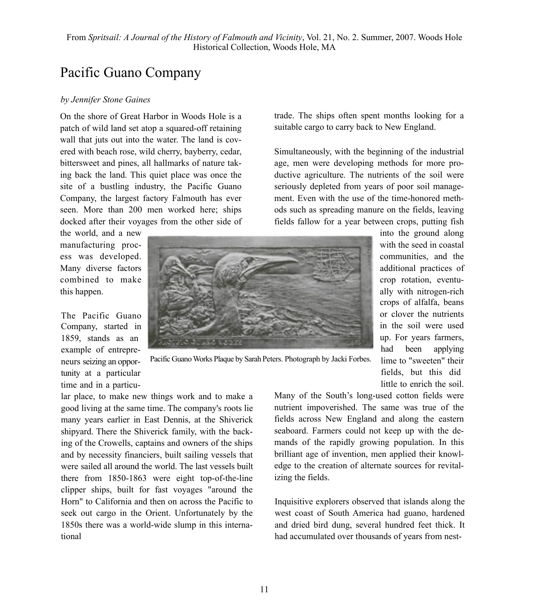## Pacific Guano Company

## *by Jennifer Stone Gaines*

On the shore of Great Harbor in Woods Hole is a patch of wild land set atop a squared-off retaining wall that juts out into the water. The land is covered with beach rose, wild cherry, bayberry, cedar, bittersweet and pines, all hallmarks of nature taking back the land. This quiet place was once the site of a bustling industry, the Pacific Guano Company, the largest factory Falmouth has ever seen. More than 200 men worked here; ships docked after their voyages from the other side of

the world, and a new manufacturing process was developed. Many diverse factors combined to make this happen.

The Pacific Guano Company, started in 1859, stands as an example of entrepreneurs seizing an opportunity at a particular time and in a particutrade. The ships often spent months looking for a suitable cargo to carry back to New England.

Simultaneously, with the beginning of the industrial age, men were developing methods for more productive agriculture. The nutrients of the soil were seriously depleted from years of poor soil management. Even with the use of the time-honored methods such as spreading manure on the fields, leaving fields fallow for a year between crops, putting fish

> into the ground along with the seed in coastal communities, and the additional practices of crop rotation, eventually with nitrogen-rich crops of alfalfa, beans or clover the nutrients in the soil were used up. For years farmers, had been applying lime to "sweeten" their fields, but this did little to enrich the soil.



Pacific Guano Works Plaque by Sarah Peters. Photograph by Jacki Forbes.

lar place, to make new things work and to make a good living at the same time. The company's roots lie many years earlier in East Dennis, at the Shiverick shipyard. There the Shiverick family, with the backing of the Crowells, captains and owners of the ships and by necessity financiers, built sailing vessels that were sailed all around the world. The last vessels built there from 1850-1863 were eight top-of-the-line clipper ships, built for fast voyages "around the Horn" to California and then on across the Pacific to seek out cargo in the Orient. Unfortunately by the 1850s there was a world-wide slump in this international

Many of the South's long-used cotton fields were nutrient impoverished. The same was true of the fields across New England and along the eastern seaboard. Farmers could not keep up with the demands of the rapidly growing population. In this brilliant age of invention, men applied their knowledge to the creation of alternate sources for revitalizing the fields.

Inquisitive explorers observed that islands along the west coast of South America had guano, hardened and dried bird dung, several hundred feet thick. It had accumulated over thousands of years from nest-

11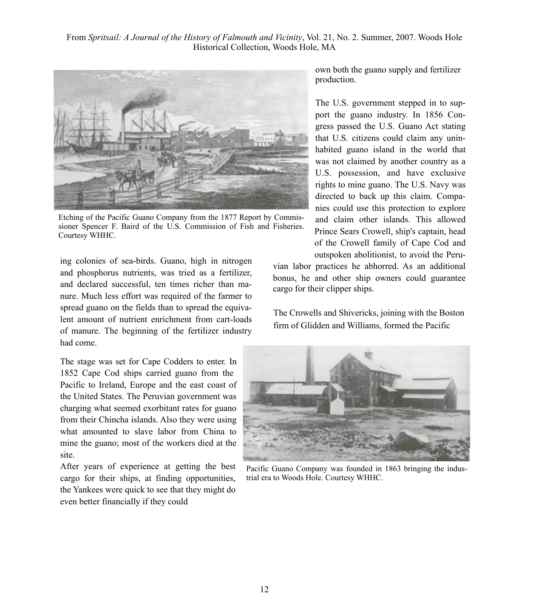

Etching of the Pacific Guano Company from the 1877 Report by Commissioner Spencer F. Baird of the U.S. Commission of Fish and Fisheries. Courtesy WHHC.

ing colonies of sea-birds. Guano, high in nitrogen and phosphorus nutrients, was tried as a fertilizer, and declared successful, ten times richer than manure. Much less effort was required of the farmer to spread guano on the fields than to spread the equivalent amount of nutrient enrichment from cart-loads of manure. The beginning of the fertilizer industry had come.

The stage was set for Cape Codders to enter. In 1852 Cape Cod ships carried guano from the Pacific to Ireland, Europe and the east coast of the United States. The Peruvian government was charging what seemed exorbitant rates for guano from their Chincha islands. Also they were using what amounted to slave labor from China to mine the guano; most of the workers died at the site.

After years of experience at getting the best cargo for their ships, at finding opportunities, the Yankees were quick to see that they might do even better financially if they could

own both the guano supply and fertilizer production.

The U.S. government stepped in to support the guano industry. In 1856 Congress passed the U.S. Guano Act stating that U.S. citizens could claim any uninhabited guano island in the world that was not claimed by another country as a U.S. possession, and have exclusive rights to mine guano. The U.S. Navy was directed to back up this claim. Companies could use this protection to explore and claim other islands. This allowed Prince Sears Crowell, ship's captain, head of the Crowell family of Cape Cod and outspoken abolitionist, to avoid the Peru-

vian labor practices he abhorred. As an additional bonus, he and other ship owners could guarantee cargo for their clipper ships.

The Crowells and Shivericks, joining with the Boston firm of Glidden and Williams, formed the Pacific



Pacific Guano Company was founded in 1863 bringing the industrial era to Woods Hole. Courtesy WHHC.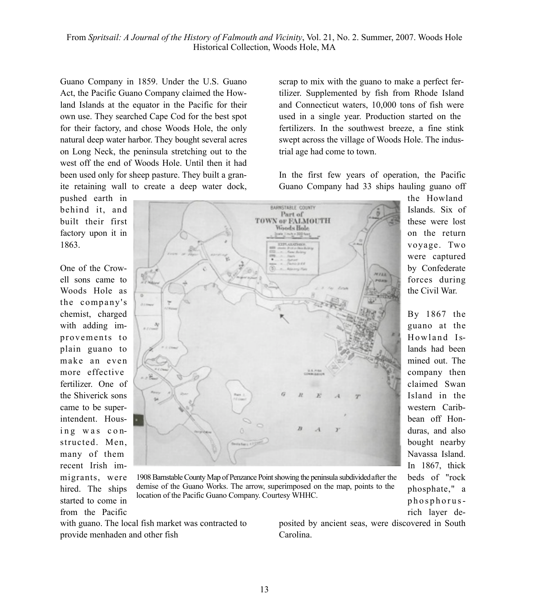Guano Company in 1859. Under the U.S. Guano Act, the Pacific Guano Company claimed the Howland Islands at the equator in the Pacific for their own use. They searched Cape Cod for the best spot for their factory, and chose Woods Hole, the only natural deep water harbor. They bought several acres on Long Neck, the peninsula stretching out to the west off the end of Woods Hole. Until then it had been used only for sheep pasture. They built a granite retaining wall to create a deep water dock,

pushed earth in behind it, and built their first factory upon it in 1863.

One of the Crowell sons came to Woods Hole as the company's chemist, charged with adding improvements to plain guano to make an even more effective fertilizer. One of the Shiverick sons came to be superintendent. Housing was constructed. Men, many of them recent Irish immigrants, were hired. The ships started to come in from the Pacific



scrap to mix with the guano to make a perfect fertilizer. Supplemented by fish from Rhode Island and Connecticut waters, 10,000 tons of fish were used in a single year. Production started on the fertilizers. In the southwest breeze, a fine stink swept across the village of Woods Hole. The indus-

In the first few years of operation, the Pacific Guano Company had 33 ships hauling guano off

> Islands. Six of these were lost on the return voyage. Two were captured by Confederate forces during the Civil War.

By 1867 the guano at the Howland Islands had been mined out. The company then claimed Swan Island in the western Caribbean off Honduras, and also bought nearby Navassa Island. In 1867, thick beds of "rock phosphate," a p h o s p h o r u s rich layer de-

1908 Barnstable County Map of Penzance Point showing the peninsula subdivided after the demise of the Guano Works. The arrow, superimposed on the map, points to the location of the Pacific Guano Company. Courtesy WHHC.

with guano. The local fish market was contracted to provide menhaden and other fish

posited by ancient seas, were discovered in South Carolina.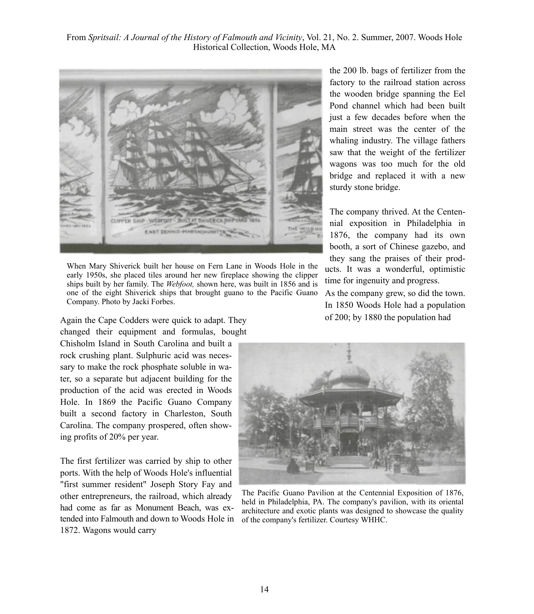

When Mary Shiverick built her house on Fern Lane in Woods Hole in the early 1950s, she placed tiles around her new fireplace showing the clipper ships built by her family. The *Webfoot,* shown here, was built in 1856 and is one of the eight Shiverick ships that brought guano to the Pacific Guano Company. Photo by Jacki Forbes.

Again the Cape Codders were quick to adapt. They changed their equipment and formulas, bought

Chisholm Island in South Carolina and built a rock crushing plant. Sulphuric acid was necessary to make the rock phosphate soluble in water, so a separate but adjacent building for the production of the acid was erected in Woods Hole. In 1869 the Pacific Guano Company built a second factory in Charleston, South Carolina. The company prospered, often showing profits of 20% per year.

The first fertilizer was carried by ship to other ports. With the help of Woods Hole's influential "first summer resident" Joseph Story Fay and other entrepreneurs, the railroad, which already had come as far as Monument Beach, was extended into Falmouth and down to Woods Hole in 1872. Wagons would carry

the 200 lb. bags of fertilizer from the factory to the railroad station across the wooden bridge spanning the Eel Pond channel which had been built just a few decades before when the main street was the center of the whaling industry. The village fathers saw that the weight of the fertilizer wagons was too much for the old bridge and replaced it with a new sturdy stone bridge.

The company thrived. At the Centennial exposition in Philadelphia in 1876, the company had its own booth, a sort of Chinese gazebo, and they sang the praises of their products. It was a wonderful, optimistic time for ingenuity and progress.

As the company grew, so did the town. In 1850 Woods Hole had a population of 200; by 1880 the population had



The Pacific Guano Pavilion at the Centennial Exposition of 1876, held in Philadelphia, PA. The company's pavilion, with its oriental architecture and exotic plants was designed to showcase the quality of the company's fertilizer. Courtesy WHHC.